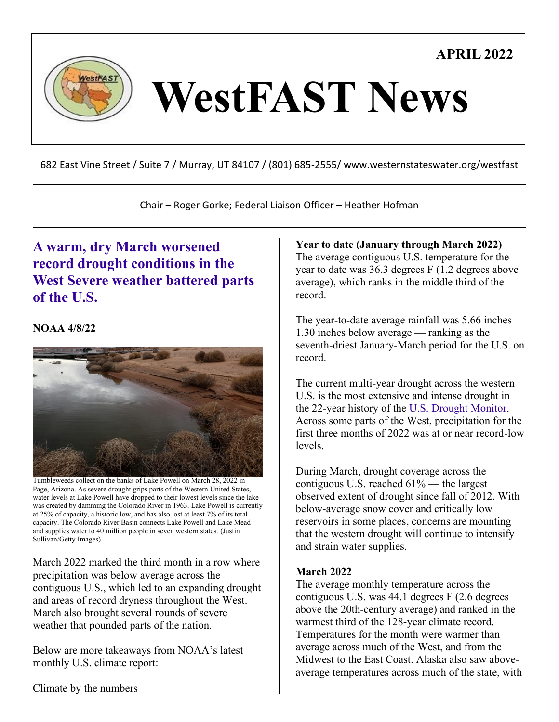**APRIL 2022**



# WestFAST News

682 East Vine Street / Suite 7 / Murray, UT 84107 / (801) 685-2555/ www.westernstateswater.org/westfast

Chair – Roger Gorke; Federal Liaison Officer – Heather Hofman

# **[A warm, dry March worsened](https://www.noaa.gov/stories/warm-dry-march-worsened-record-drought-conditions-in-west)  [record drought conditions in the](https://www.noaa.gov/stories/warm-dry-march-worsened-record-drought-conditions-in-west)  West [Severe weather battered parts](https://www.noaa.gov/stories/warm-dry-march-worsened-record-drought-conditions-in-west)  [of the U.S.](https://www.noaa.gov/stories/warm-dry-march-worsened-record-drought-conditions-in-west)**

**NOAA 4/8/22**



Tumbleweeds collect on the banks of Lake Powell on March 28, 2022 in Page, Arizona. As severe drought grips parts of the Western United States, water levels at Lake Powell have dropped to their lowest levels since the lake was created by damming the Colorado River in 1963. Lake Powell is currently at 25% of capacity, a historic low, and has also lost at least 7% of its total capacity. The Colorado River Basin connects Lake Powell and Lake Mead and supplies water to 40 million people in seven western states. (Justin Sullivan/Getty Images)

March 2022 marked the third month in a row where precipitation was below average across the contiguous U.S., which led to an expanding drought and areas of record dryness throughout the West. March also brought several rounds of severe weather that pounded parts of the nation.

Below are more takeaways from NOAA's latest monthly U.S. climate report:

Climate by the numbers

# **Year to date (January through March 2022)**

The average contiguous U.S. temperature for the year to date was 36.3 degrees F (1.2 degrees above average), which ranks in the middle third of the record.

The year-to-date average rainfall was 5.66 inches — 1.30 inches below average — ranking as the seventh-driest January-March period for the U.S. on record.

The current multi-year drought across the western U.S. is the most extensive and intense drought in the 22-year history of the [U.S. Drought Monitor.](https://droughtmonitor.unl.edu/) Across some parts of the West, precipitation for the first three months of 2022 was at or near record-low levels.

During March, drought coverage across the contiguous U.S. reached 61% — the largest observed extent of drought since fall of 2012. With below-average snow cover and critically low reservoirs in some places, concerns are mounting that the western drought will continue to intensify and strain water supplies.

# **March 2022**

The average monthly temperature across the contiguous U.S. was 44.1 degrees F (2.6 degrees above the 20th-century average) and ranked in the warmest third of the 128-year climate record. Temperatures for the month were warmer than average across much of the West, and from the Midwest to the East Coast. Alaska also saw aboveaverage temperatures across much of the state, with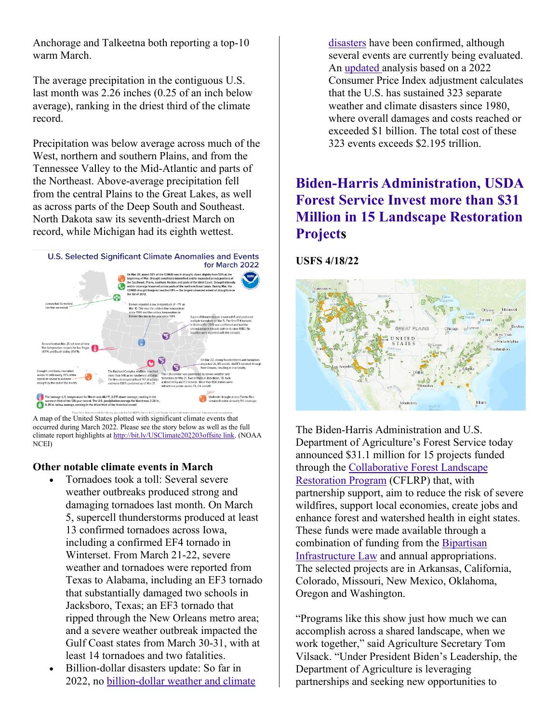Anchorage and Talkeetna both reporting a top-10 warm March.

The average precipitation in the contiguous U.S. last month was 2.26 inches (0.25 of an inch below average), ranking in the driest third of the climate record.

Precipitation was below average across much of the West, northern and southern Plains, and from the Tennessee Valley to the Mid-Atlantic and parts of the Northeast. Above-average precipitation fell from the central Plains to the Great Lakes, as well as across parts of the Deep South and Southeast. North Dakota saw its seventh-driest March on record, while Michigan had its eighth wettest.



A map of the United States plotted with significant climate events that occurred during March 2022. Please see the story below as well as the full climate report highlights at [http://bit.ly/USClimate202203offsite link.](http://bit.ly/USClimate202203) (NOAA **NCED** 

## **Other notable climate events in March**

- Tornadoes took a toll: Several severe weather outbreaks produced strong and damaging tornadoes last month. On March 5, supercell thunderstorms produced at least 13 confirmed tornadoes across Iowa, including a confirmed EF4 tornado in Winterset. From March 21-22, severe weather and tornadoes were reported from Texas to Alabama, including an EF3 tornado that substantially damaged two schools in Jacksboro, Texas; an EF3 tornado that ripped through the New Orleans metro area; and a severe weather outbreak impacted the Gulf Coast states from March 30-31, with at least 14 tornadoes and two fatalities.
- Billion-dollar disasters update: So far in 2022, no [billion-dollar weather and climate](https://www.ncdc.noaa.gov/billions/)

[disasters](https://www.ncdc.noaa.gov/billions/) have been confirmed, although several events are currently being evaluated. An [updated](https://www.ncdc.noaa.gov/billions/time-series) analysis based on a 2022 Consumer Price Index adjustment calculates that the U.S. has sustained 323 separate weather and climate disasters since 1980, where overall damages and costs reached or exceeded \$1 billion. The total cost of these 323 events exceeds \$2.195 trillion.

# **[Biden-Harris Administration, USDA](https://www.fs.usda.gov/news/releases/biden-harris-administration-usda-forest-service-invest-more-31-million-15-landscape)  [Forest Service Invest more than \\$31](https://www.fs.usda.gov/news/releases/biden-harris-administration-usda-forest-service-invest-more-31-million-15-landscape)  [Million in 15 Landscape Restoration](https://www.fs.usda.gov/news/releases/biden-harris-administration-usda-forest-service-invest-more-31-million-15-landscape)  [Projects](https://www.fs.usda.gov/news/releases/biden-harris-administration-usda-forest-service-invest-more-31-million-15-landscape)**

## **USFS 4/18/22**



The Biden-Harris Administration and U.S. Department of Agriculture's Forest Service today announced \$31.1 million for 15 projects funded through the [Collaborative Forest Landscape](https://www.fs.fed.us/restoration/CFLRP/)  [Restoration Program](https://www.fs.fed.us/restoration/CFLRP/) (CFLRP) that, with partnership support, aim to reduce the risk of severe wildfires, support local economies, create jobs and enhance forest and watershed health in eight states. These funds were made available through a combination of funding from the [Bipartisan](https://www.whitehouse.gov/bipartisan-infrastructure-law/)  [Infrastructure Law](https://www.whitehouse.gov/bipartisan-infrastructure-law/) and annual appropriations. The selected projects are in Arkansas, California, Colorado, Missouri, New Mexico, Oklahoma, Oregon and Washington.

"Programs like this show just how much we can accomplish across a shared landscape, when we work together," said Agriculture Secretary Tom Vilsack. "Under President Biden's Leadership, the Department of Agriculture is leveraging partnerships and seeking new opportunities to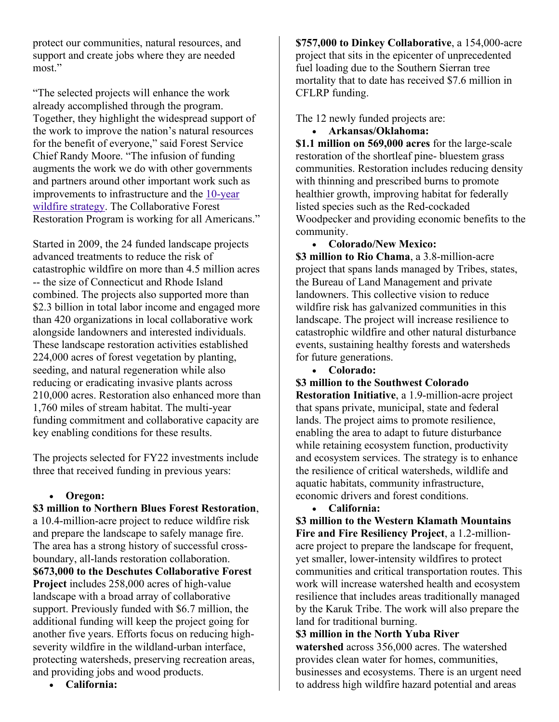protect our communities, natural resources, and support and create jobs where they are needed most."

"The selected projects will enhance the work already accomplished through the program. Together, they highlight the widespread support of the work to improve the nation's natural resources for the benefit of everyone," said Forest Service Chief Randy Moore. "The infusion of funding augments the work we do with other governments and partners around other important work such as improvements to infrastructure and the [10-year](https://www.fs.usda.gov/managing-land/wildfire-crisis)  [wildfire strategy.](https://www.fs.usda.gov/managing-land/wildfire-crisis) The Collaborative Forest Restoration Program is working for all Americans."

Started in 2009, the 24 funded landscape projects advanced treatments to reduce the risk of catastrophic wildfire on more than 4.5 million acres -- the size of Connecticut and Rhode Island combined. The projects also supported more than \$2.3 billion in total labor income and engaged more than 420 organizations in local collaborative work alongside landowners and interested individuals. These landscape restoration activities established 224,000 acres of forest vegetation by planting, seeding, and natural regeneration while also reducing or eradicating invasive plants across 210,000 acres. Restoration also enhanced more than 1,760 miles of stream habitat. The multi-year funding commitment and collaborative capacity are key enabling conditions for these results.

The projects selected for FY22 investments include three that received funding in previous years:

## • **Oregon:**

**\$3 million to Northern Blues Forest Restoration**, a 10.4-million-acre project to reduce wildfire risk and prepare the landscape to safely manage fire. The area has a strong history of successful crossboundary, all-lands restoration collaboration. **\$673,000 to the Deschutes Collaborative Forest Project** includes 258,000 acres of high-value landscape with a broad array of collaborative support. Previously funded with \$6.7 million, the additional funding will keep the project going for another five years. Efforts focus on reducing highseverity wildfire in the wildland-urban interface, protecting watersheds, preserving recreation areas, and providing jobs and wood products.

**\$757,000 to Dinkey Collaborative**, a 154,000-acre project that sits in the epicenter of unprecedented fuel loading due to the Southern Sierran tree mortality that to date has received \$7.6 million in CFLRP funding.

The 12 newly funded projects are:

## • **Arkansas/Oklahoma:**

**\$1.1 million on 569,000 acres** for the large-scale restoration of the shortleaf pine- bluestem grass communities. Restoration includes reducing density with thinning and prescribed burns to promote healthier growth, improving habitat for federally listed species such as the Red-cockaded Woodpecker and providing economic benefits to the community.

• **Colorado/New Mexico:**

**\$3 million to Rio Chama**, a 3.8-million-acre project that spans lands managed by Tribes, states, the Bureau of Land Management and private landowners. This collective vision to reduce wildfire risk has galvanized communities in this landscape. The project will increase resilience to catastrophic wildfire and other natural disturbance events, sustaining healthy forests and watersheds for future generations.

• **Colorado:**

**\$3 million to the Southwest Colorado** 

**Restoration Initiative**, a 1.9-million-acre project that spans private, municipal, state and federal lands. The project aims to promote resilience, enabling the area to adapt to future disturbance while retaining ecosystem function, productivity and ecosystem services. The strategy is to enhance the resilience of critical watersheds, wildlife and aquatic habitats, community infrastructure, economic drivers and forest conditions.

• **California:**

**\$3 million to the Western Klamath Mountains Fire and Fire Resiliency Project**, a 1.2-millionacre project to prepare the landscape for frequent, yet smaller, lower-intensity wildfires to protect communities and critical transportation routes. This work will increase watershed health and ecosystem resilience that includes areas traditionally managed by the Karuk Tribe. The work will also prepare the land for traditional burning.

**\$3 million in the North Yuba River** 

**watershed** across 356,000 acres. The watershed provides clean water for homes, communities, businesses and ecosystems. There is an urgent need to address high wildfire hazard potential and areas

• **California:**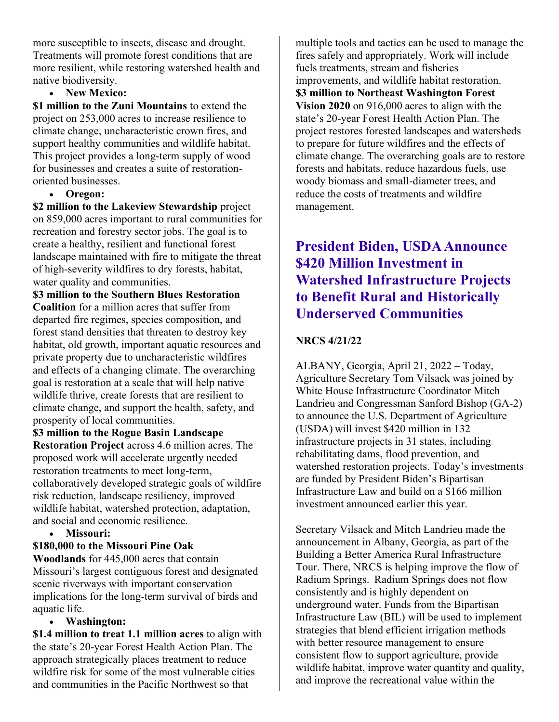more susceptible to insects, disease and drought. Treatments will promote forest conditions that are more resilient, while restoring watershed health and native biodiversity.

# • **New Mexico:**

**\$1 million to the Zuni Mountains** to extend the project on 253,000 acres to increase resilience to climate change, uncharacteristic crown fires, and support healthy communities and wildlife habitat. This project provides a long-term supply of wood for businesses and creates a suite of restorationoriented businesses.

• **Oregon:**

**\$2 million to the Lakeview Stewardship** project on 859,000 acres important to rural communities for recreation and forestry sector jobs. The goal is to create a healthy, resilient and functional forest landscape maintained with fire to mitigate the threat of high-severity wildfires to dry forests, habitat, water quality and communities.

**\$3 million to the Southern Blues Restoration Coalition** for a million acres that suffer from departed fire regimes, species composition, and forest stand densities that threaten to destroy key habitat, old growth, important aquatic resources and private property due to uncharacteristic wildfires and effects of a changing climate. The overarching goal is restoration at a scale that will help native wildlife thrive, create forests that are resilient to climate change, and support the health, safety, and prosperity of local communities.

**\$3 million to the Rogue Basin Landscape Restoration Project** across 4.6 million acres. The proposed work will accelerate urgently needed restoration treatments to meet long-term, collaboratively developed strategic goals of wildfire risk reduction, landscape resiliency, improved wildlife habitat, watershed protection, adaptation, and social and economic resilience.

• **Missouri:**

#### **\$180,000 to the Missouri Pine Oak**

**Woodlands** for 445,000 acres that contain Missouri's largest contiguous forest and designated scenic riverways with important conservation implications for the long-term survival of birds and aquatic life.

• **Washington:**

**\$1.4 million to treat 1.1 million acres** to align with the state's 20-year Forest Health Action Plan. The approach strategically places treatment to reduce wildfire risk for some of the most vulnerable cities and communities in the Pacific Northwest so that

multiple tools and tactics can be used to manage the fires safely and appropriately. Work will include fuels treatments, stream and fisheries improvements, and wildlife habitat restoration. **\$3 million to Northeast Washington Forest Vision 2020** on 916,000 acres to align with the state's 20-year Forest Health Action Plan. The project restores forested landscapes and watersheds to prepare for future wildfires and the effects of climate change. The overarching goals are to restore forests and habitats, reduce hazardous fuels, use woody biomass and small-diameter trees, and reduce the costs of treatments and wildfire management.

# **[President Biden, USDA Announce](https://www.nrcs.usda.gov/wps/portal/nrcs/detail/national/newsroom/releases/?cid=NRCSEPRD1913231)  [\\$420 Million Investment in](https://www.nrcs.usda.gov/wps/portal/nrcs/detail/national/newsroom/releases/?cid=NRCSEPRD1913231)  [Watershed Infrastructure Projects](https://www.nrcs.usda.gov/wps/portal/nrcs/detail/national/newsroom/releases/?cid=NRCSEPRD1913231)  [to Benefit Rural and Historically](https://www.nrcs.usda.gov/wps/portal/nrcs/detail/national/newsroom/releases/?cid=NRCSEPRD1913231)  [Underserved Communities](https://www.nrcs.usda.gov/wps/portal/nrcs/detail/national/newsroom/releases/?cid=NRCSEPRD1913231)**

## **NRCS 4/21/22**

ALBANY, Georgia, April 21, 2022 – Today, Agriculture Secretary Tom Vilsack was joined by White House Infrastructure Coordinator Mitch Landrieu and Congressman Sanford Bishop (GA-2) to announce the U.S. Department of Agriculture (USDA) will invest \$420 million in 132 infrastructure projects in 31 states, including rehabilitating dams, flood prevention, and watershed restoration projects. Today's investments are funded by President Biden's Bipartisan Infrastructure Law and build on a \$166 million investment announced earlier this year.    

Secretary Vilsack and Mitch Landrieu made the announcement in Albany, Georgia, as part of the Building a Better America Rural Infrastructure Tour. There, NRCS is helping improve the flow of Radium Springs.  Radium Springs does not flow consistently and is highly dependent on underground water. Funds from the Bipartisan Infrastructure Law (BIL) will be used to implement strategies that blend efficient irrigation methods with better resource management to ensure consistent flow to support agriculture, provide wildlife habitat, improve water quantity and quality, and improve the recreational value within the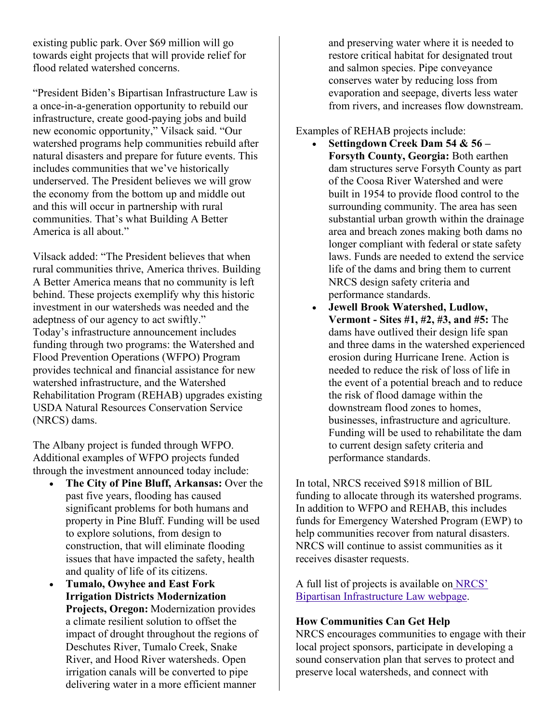existing public park. Over \$69 million will go towards eight projects that will provide relief for flood related watershed concerns.   

"President Biden's Bipartisan Infrastructure Law is a once-in-a-generation opportunity to rebuild our infrastructure, create good-paying jobs and build new economic opportunity," Vilsack said. "Our watershed programs help communities rebuild after natural disasters and prepare for future events. This includes communities that we've historically underserved. The President believes we will grow the economy from the bottom up and middle out and this will occur in partnership with rural communities. That's what Building A Better America is all about."   

Vilsack added: "The President believes that when rural communities thrive, America thrives. Building A Better America means that no community is left behind. These projects exemplify why this historic investment in our watersheds was needed and the adeptness of our agency to act swiftly."    Today's infrastructure announcement includes funding through two programs: the Watershed and Flood Prevention Operations (WFPO) Program provides technical and financial assistance for new watershed infrastructure, and the Watershed Rehabilitation Program (REHAB) upgrades existing USDA Natural Resources Conservation Service (NRCS) dams.   

The Albany project is funded through WFPO. Additional examples of WFPO projects funded through the investment announced today include: 

- **The City of Pine Bluff, Arkansas:** Over the past five years, flooding has caused significant problems for both humans and property in Pine Bluff. Funding will be used to explore solutions, from design to construction, that will eliminate flooding issues that have impacted the safety, health and quality of life of its citizens.
- **Tumalo, Owyhee and East Fork Irrigation Districts Modernization Projects, Oregon:** Modernization provides a climate resilient solution to offset the impact of drought throughout the regions of Deschutes River, Tumalo Creek, Snake River, and Hood River watersheds. Open irrigation canals will be converted to pipe delivering water in a more efficient manner

and preserving water where it is needed to restore critical habitat for designated trout and salmon species. Pipe conveyance conserves water by reducing loss from evaporation and seepage, diverts less water from rivers, and increases flow downstream. 

Examples of REHAB projects include: 

- **Settingdown Creek Dam 54 & 56 – Forsyth County, Georgia:** Both earthen dam structures serve Forsyth County as part of the Coosa River Watershed and were built in 1954 to provide flood control to the surrounding community. The area has seen substantial urban growth within the drainage area and breach zones making both dams no longer compliant with federal or state safety laws. Funds are needed to extend the service life of the dams and bring them to current NRCS design safety criteria and performance standards.
- **Jewell Brook Watershed, Ludlow, Vermont - Sites #1, #2, #3, and #5:** The dams have outlived their design life span and three dams in the watershed experienced erosion during Hurricane Irene. Action is needed to reduce the risk of loss of life in the event of a potential breach and to reduce the risk of flood damage within the downstream flood zones to homes, businesses, infrastructure and agriculture. Funding will be used to rehabilitate the dam to current design safety criteria and performance standards.

In total, NRCS received \$918 million of BIL funding to allocate through its watershed programs. In addition to WFPO and REHAB, this includes funds for Emergency Watershed Program (EWP) to help communities recover from natural disasters. NRCS will continue to assist communities as it receives disaster requests.   

A full list of projects is available on [NRCS'](https://www.nrcs.usda.gov/wps/portal/nrcs/detail/national/programs/landscape/?cid=nrcseprd1887630)  [Bipartisan Infrastructure Law webpage.](https://www.nrcs.usda.gov/wps/portal/nrcs/detail/national/programs/landscape/?cid=nrcseprd1887630)

## **How Communities Can Get Help**

NRCS encourages communities to engage with their local project sponsors, participate in developing a sound conservation plan that serves to protect and preserve local watersheds, and connect with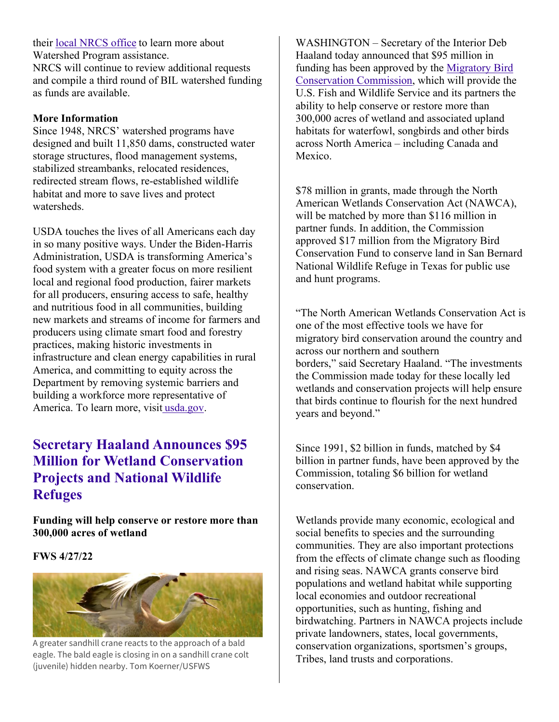their [local NRCS office t](https://www.nrcs.usda.gov/wps/portal/nrcs/detail/national/programs/landscape/?cid=nrcseprd1859828)o learn more about Watershed Program assistance.  NRCS will continue to review additional requests and compile a third round of BIL watershed funding as funds are available. 

#### **More Information**

Since 1948, NRCS' watershed programs have designed and built 11,850 dams, constructed water storage structures, flood management systems, stabilized streambanks, relocated residences, redirected stream flows, re-established wildlife habitat and more to save lives and protect watersheds.   

USDA touches the lives of all Americans each day in so many positive ways. Under the Biden-Harris Administration, USDA is transforming America's food system with a greater focus on more resilient local and regional food production, fairer markets for all producers, ensuring access to safe, healthy and nutritious food in all communities, building new markets and streams of income for farmers and producers using climate smart food and forestry practices, making historic investments in infrastructure and clean energy capabilities in rural America, and committing to equity across the Department by removing systemic barriers and building a workforce more representative of America. To learn more, visi[t usda.gov.](https://www.usda.gov/) 

# **[Secretary Haaland Announces \\$95](https://www.fws.gov/press-release/2022-04/95-million-awarded-wetland-conservation-projects)  [Million for Wetland Conservation](https://www.fws.gov/press-release/2022-04/95-million-awarded-wetland-conservation-projects)  [Projects and National Wildlife](https://www.fws.gov/press-release/2022-04/95-million-awarded-wetland-conservation-projects)  [Refuges](https://www.fws.gov/press-release/2022-04/95-million-awarded-wetland-conservation-projects)**

**Funding will help conserve or restore more than 300,000 acres of wetland**

#### **FWS 4/27/22**



A greater sandhill crane reacts to the approach of a bald eagle. The bald eagle is closing in on a sandhill crane colt (juvenile) hidden nearby. Tom Koerner/USFWS

WASHINGTON – Secretary of the Interior Deb Haaland today announced that \$95 million in funding has been approved by the [Migratory Bird](https://www.fws.gov/program/land-acquisition-and-realty/migratory-bird-conservation-commission)  [Conservation Commission,](https://www.fws.gov/program/land-acquisition-and-realty/migratory-bird-conservation-commission) which will provide the U.S. Fish and Wildlife Service and its partners the ability to help conserve or restore more than 300,000 acres of wetland and associated upland habitats for waterfowl, songbirds and other birds across North America – including Canada and Mexico.

\$78 million in grants, made through the North American Wetlands Conservation Act (NAWCA), will be matched by more than \$116 million in partner funds. In addition, the Commission approved \$17 million from the Migratory Bird Conservation Fund to conserve land in San Bernard National Wildlife Refuge in Texas for public use and hunt programs.

"The North American Wetlands Conservation Act is one of the most effective tools we have for migratory bird conservation around the country and across our northern and southern borders," said Secretary Haaland. "The investments the Commission made today for these locally led wetlands and conservation projects will help ensure that birds continue to flourish for the next hundred years and beyond."

Since 1991, \$2 billion in funds, matched by \$4 billion in partner funds, have been approved by the Commission, totaling \$6 billion for wetland conservation.

Wetlands provide many economic, ecological and social benefits to species and the surrounding communities. They are also important protections from the effects of climate change such as flooding and rising seas. NAWCA grants conserve bird populations and wetland habitat while supporting local economies and outdoor recreational opportunities, such as hunting, fishing and birdwatching. Partners in NAWCA projects include private landowners, states, local governments, conservation organizations, sportsmen's groups, Tribes, land trusts and corporations.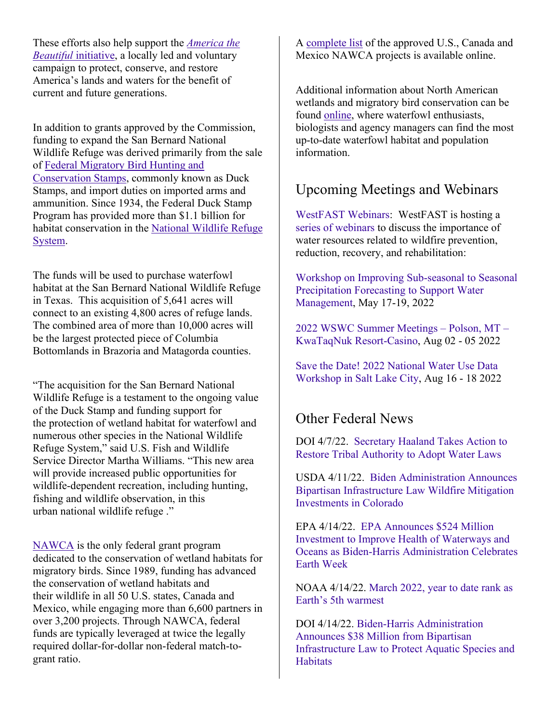These efforts also help support the *[America the](https://www.doi.gov/priorities/america-the-beautiful)  Beautiful* [initiative,](https://www.doi.gov/priorities/america-the-beautiful) a locally led and voluntary campaign to protect, conserve, and restore America's lands and waters for the benefit of current and future generations.

In addition to grants approved by the Commission, funding to expand the San Bernard National Wildlife Refuge was derived primarily from the sale of [Federal Migratory Bird Hunting and](https://www.fws.gov/service/duck-stamps)  [Conservation Stamps,](https://www.fws.gov/service/duck-stamps) commonly known as Duck Stamps, and import duties on imported arms and ammunition. Since 1934, the Federal Duck Stamp Program has provided more than \$1.1 billion for habitat conservation in the [National Wildlife Refuge](https://www.fws.gov/program/national-wildlife-refuge-system)  [System.](https://www.fws.gov/program/national-wildlife-refuge-system)

The funds will be used to purchase waterfowl habitat at the San Bernard National Wildlife Refuge in Texas. This acquisition of 5,641 acres will connect to an existing 4,800 acres of refuge lands. The combined area of more than 10,000 acres will be the largest protected piece of Columbia Bottomlands in Brazoria and Matagorda counties.

"The acquisition for the San Bernard National Wildlife Refuge is a testament to the ongoing value of the Duck Stamp and funding support for the protection of wetland habitat for waterfowl and numerous other species in the National Wildlife Refuge System," said U.S. Fish and Wildlife Service Director Martha Williams. "This new area will provide increased public opportunities for wildlife-dependent recreation, including hunting, fishing and wildlife observation, in this urban national wildlife refuge ."

[NAWCA](https://www.fws.gov/program/north-american-wetlands-conservation) is the only federal grant program dedicated to the conservation of wetland habitats for migratory birds. Since 1989, funding has advanced the conservation of wetland habitats and their wildlife in all 50 U.S. states, Canada and Mexico, while engaging more than 6,600 partners in over 3,200 projects. Through NAWCA, federal funds are typically leveraged at twice the legally required dollar-for-dollar non-federal match-togrant ratio.

A [complete list](https://www.fws.gov/media/north-american-wetlands-conservation-act-project-summaries-fy-2022-2) of the approved U.S., Canada and Mexico NAWCA projects is available online.

Additional information about North American wetlands and migratory bird conservation can be found [online,](https://fws.gov/program/migratory-birds) where waterfowl enthusiasts, biologists and agency managers can find the most up-to-date waterfowl habitat and population information.

# Upcoming Meetings and Webinars

[WestFAST Webinars:](https://westernstateswater.org/westfast/) WestFAST is hosting a [series of webinars](https://westernstateswater.org/upcoming-westfast-webinars/) to discuss the importance of water resources related to wildfire prevention, reduction, recovery, and rehabilitation:

[Workshop on Improving Sub-seasonal to Seasonal](https://westernstateswater.org/events/workshop-on-improving-sub-seasonal-to-seasonal-precipitation-forecasting-to-support-water-management/)  [Precipitation Forecasting to Support Water](https://westernstateswater.org/events/workshop-on-improving-sub-seasonal-to-seasonal-precipitation-forecasting-to-support-water-management/)  [Management,](https://westernstateswater.org/events/workshop-on-improving-sub-seasonal-to-seasonal-precipitation-forecasting-to-support-water-management/) May 17-19, 2022

[2022 WSWC Summer Meetings –](https://westernstateswater.org/events/2022-summer-meetings/) Polson, MT – [KwaTaqNuk Resort-Casino,](https://westernstateswater.org/events/2022-summer-meetings/) Aug 02 - 05 2022

[Save the Date! 2022 National Water Use Data](https://westernstateswater.org/events/2022-national-water-use-data-workshop/)  [Workshop in Salt Lake City,](https://westernstateswater.org/events/2022-national-water-use-data-workshop/) Aug 16 - 18 2022

# Other Federal News

DOI 4/7/22. [Secretary Haaland Takes Action to](https://www.doi.gov/pressreleases/secretary-haaland-takes-action-restore-tribal-authority-adopt-water-laws)  [Restore Tribal Authority to Adopt Water Laws](https://www.doi.gov/pressreleases/secretary-haaland-takes-action-restore-tribal-authority-adopt-water-laws)

USDA 4/11/22. [Biden Administration Announces](https://www.fs.usda.gov/news/releases/biden-administration-announces-bipartisan-infrastructure-law-wildfire-mitigation)  [Bipartisan Infrastructure Law Wildfire Mitigation](https://www.fs.usda.gov/news/releases/biden-administration-announces-bipartisan-infrastructure-law-wildfire-mitigation)  [Investments in Colorado](https://www.fs.usda.gov/news/releases/biden-administration-announces-bipartisan-infrastructure-law-wildfire-mitigation)

EPA 4/14/22. [EPA Announces \\$524 Million](https://www.epa.gov/newsreleases/epa-announces-524-million-investment-improve-health-waterways-and-oceans-biden-harris)  [Investment to Improve Health of Waterways and](https://www.epa.gov/newsreleases/epa-announces-524-million-investment-improve-health-waterways-and-oceans-biden-harris)  [Oceans as Biden-Harris Administration Celebrates](https://www.epa.gov/newsreleases/epa-announces-524-million-investment-improve-health-waterways-and-oceans-biden-harris)  [Earth Week](https://www.epa.gov/newsreleases/epa-announces-524-million-investment-improve-health-waterways-and-oceans-biden-harris)

NOAA 4/14/22. [March 2022, year to date rank as](https://www.noaa.gov/news/march-2022-year-to-date-rank-as-earths-5th-warmest)  [Earth's 5th warmest](https://www.noaa.gov/news/march-2022-year-to-date-rank-as-earths-5th-warmest)

DOI 4/14/22. [Biden-Harris Administration](https://www.doi.gov/pressreleases/biden-harris-administration-announces-38-million-bipartisan-infrastructure-law-protect)  [Announces \\$38 Million from Bipartisan](https://www.doi.gov/pressreleases/biden-harris-administration-announces-38-million-bipartisan-infrastructure-law-protect)  [Infrastructure Law to Protect Aquatic Species and](https://www.doi.gov/pressreleases/biden-harris-administration-announces-38-million-bipartisan-infrastructure-law-protect)  **[Habitats](https://www.doi.gov/pressreleases/biden-harris-administration-announces-38-million-bipartisan-infrastructure-law-protect)**